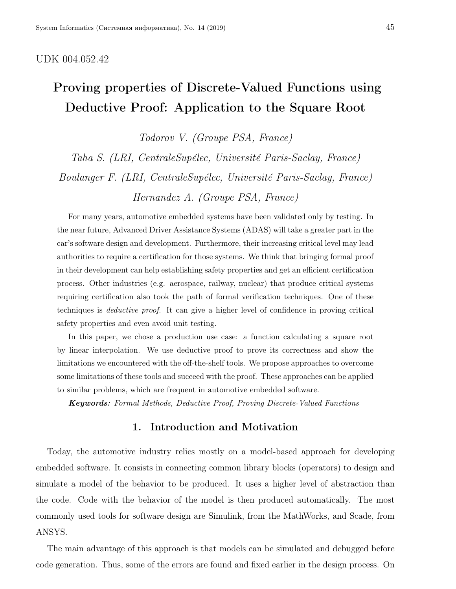# UDK 004.052.42

# Proving properties of Discrete-Valued Functions using Deductive Proof: Application to the Square Root

Todorov V. (Groupe PSA, France)

Taha S. (LRI, CentraleSupélec, Université Paris-Saclay, France) Boulanger F. (LRI, CentraleSupélec, Université Paris-Saclay, France) Hernandez A. (Groupe PSA, France)

For many years, automotive embedded systems have been validated only by testing. In the near future, Advanced Driver Assistance Systems (ADAS) will take a greater part in the car's software design and development. Furthermore, their increasing critical level may lead authorities to require a certification for those systems. We think that bringing formal proof in their development can help establishing safety properties and get an efficient certification process. Other industries (e.g. aerospace, railway, nuclear) that produce critical systems requiring certification also took the path of formal verification techniques. One of these techniques is deductive proof. It can give a higher level of confidence in proving critical safety properties and even avoid unit testing.

In this paper, we chose a production use case: a function calculating a square root by linear interpolation. We use deductive proof to prove its correctness and show the limitations we encountered with the off-the-shelf tools. We propose approaches to overcome some limitations of these tools and succeed with the proof. These approaches can be applied to similar problems, which are frequent in automotive embedded software.

Keywords: Formal Methods, Deductive Proof, Proving Discrete-Valued Functions

# 1. Introduction and Motivation

Today, the automotive industry relies mostly on a model-based approach for developing embedded software. It consists in connecting common library blocks (operators) to design and simulate a model of the behavior to be produced. It uses a higher level of abstraction than the code. Code with the behavior of the model is then produced automatically. The most commonly used tools for software design are Simulink, from the MathWorks, and Scade, from ANSYS.

The main advantage of this approach is that models can be simulated and debugged before code generation. Thus, some of the errors are found and fixed earlier in the design process. On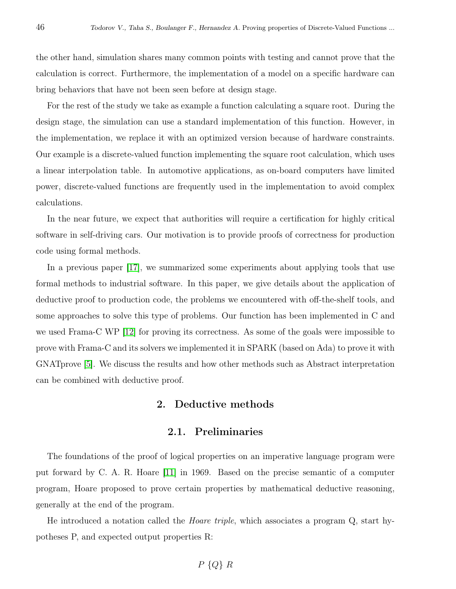the other hand, simulation shares many common points with testing and cannot prove that the calculation is correct. Furthermore, the implementation of a model on a specific hardware can bring behaviors that have not been seen before at design stage.

For the rest of the study we take as example a function calculating a square root. During the design stage, the simulation can use a standard implementation of this function. However, in the implementation, we replace it with an optimized version because of hardware constraints. Our example is a discrete-valued function implementing the square root calculation, which uses a linear interpolation table. In automotive applications, as on-board computers have limited power, discrete-valued functions are frequently used in the implementation to avoid complex calculations.

In the near future, we expect that authorities will require a certification for highly critical software in self-driving cars. Our motivation is to provide proofs of correctness for production code using formal methods.

In a previous paper [\[17\]](#page-9-0), we summarized some experiments about applying tools that use formal methods to industrial software. In this paper, we give details about the application of deductive proof to production code, the problems we encountered with off-the-shelf tools, and some approaches to solve this type of problems. Our function has been implemented in C and we used Frama-C WP [\[12\]](#page-8-0) for proving its correctness. As some of the goals were impossible to prove with Frama-C and its solvers we implemented it in SPARK (based on Ada) to prove it with GNATprove [\[5\]](#page-8-1). We discuss the results and how other methods such as Abstract interpretation can be combined with deductive proof.

# 2. Deductive methods

## 2.1. Preliminaries

The foundations of the proof of logical properties on an imperative language program were put forward by C. A. R. Hoare [\[11\]](#page-8-2) in 1969. Based on the precise semantic of a computer program, Hoare proposed to prove certain properties by mathematical deductive reasoning, generally at the end of the program.

He introduced a notation called the Hoare triple, which associates a program Q, start hypotheses P, and expected output properties R: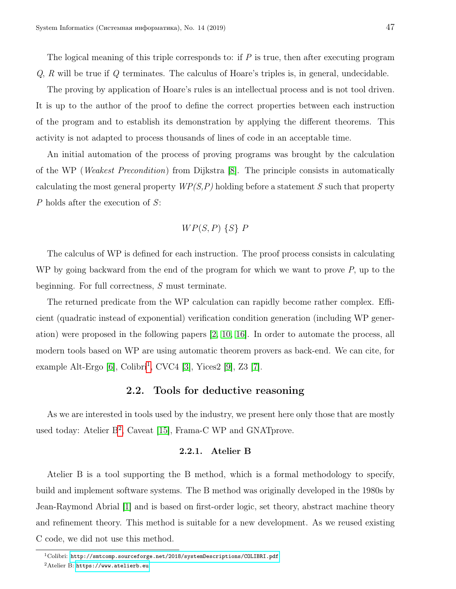The logical meaning of this triple corresponds to: if  $P$  is true, then after executing program  $Q$ ,  $R$  will be true if  $Q$  terminates. The calculus of Hoare's triples is, in general, undecidable.

The proving by application of Hoare's rules is an intellectual process and is not tool driven. It is up to the author of the proof to define the correct properties between each instruction of the program and to establish its demonstration by applying the different theorems. This activity is not adapted to process thousands of lines of code in an acceptable time.

An initial automation of the process of proving programs was brought by the calculation of the WP (Weakest Precondition) from Dijkstra [\[8\]](#page-8-3). The principle consists in automatically calculating the most general property  $WP(S, P)$  holding before a statement S such that property P holds after the execution of S:

# $WP(S, P)$  {S}  $P$

The calculus of WP is defined for each instruction. The proof process consists in calculating WP by going backward from the end of the program for which we want to prove  $P$ , up to the beginning. For full correctness,  $S$  must terminate.

The returned predicate from the WP calculation can rapidly become rather complex. Efficient (quadratic instead of exponential) verification condition generation (including WP generation) were proposed in the following papers [\[2,](#page-8-4) [10,](#page-8-5) [16\]](#page-9-1). In order to automate the process, all modern tools based on WP are using automatic theorem provers as back-end. We can cite, for example Alt-Ergo  $[6]$ , Colibri<sup>[1](#page-2-0)</sup>, CVC4  $[3]$ , Yices2  $[9]$ , Z3  $[7]$ .

## 2.2. Tools for deductive reasoning

As we are interested in tools used by the industry, we present here only those that are mostly used today: Atelier B<sup>[2](#page-2-1)</sup>, Caveat [\[15\]](#page-9-2), Frama-C WP and GNATprove.

#### 2.2.1. Atelier B

Atelier B is a tool supporting the B method, which is a formal methodology to specify, build and implement software systems. The B method was originally developed in the 1980s by Jean-Raymond Abrial [\[1\]](#page-8-10) and is based on first-order logic, set theory, abstract machine theory and refinement theory. This method is suitable for a new development. As we reused existing C code, we did not use this method.

<span id="page-2-1"></span><span id="page-2-0"></span> $1$ Colibri: <http://smtcomp.sourceforge.net/2018/systemDescriptions/COLIBRI.pdf>

 ${}^{2}$ Atelier B: <https://www.atelierb.eu>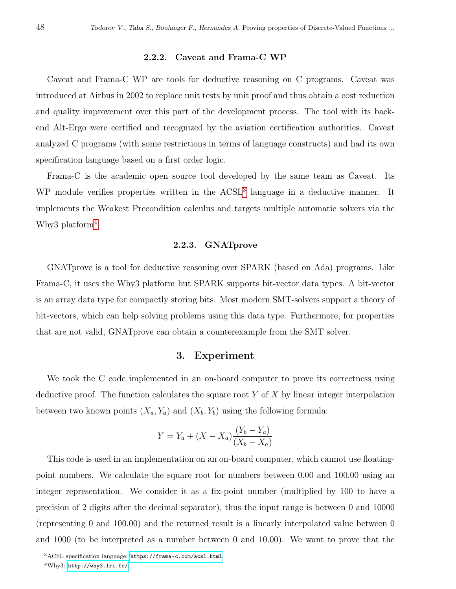#### 2.2.2. Caveat and Frama-C WP

Caveat and Frama-C WP are tools for deductive reasoning on C programs. Caveat was introduced at Airbus in 2002 to replace unit tests by unit proof and thus obtain a cost reduction and quality improvement over this part of the development process. The tool with its backend Alt-Ergo were certified and recognized by the aviation certification authorities. Caveat analyzed C programs (with some restrictions in terms of language constructs) and had its own specification language based on a first order logic.

Frama-C is the academic open source tool developed by the same team as Caveat. Its WP module verifies properties written in the ACSL<sup>[3](#page-3-0)</sup> language in a deductive manner. It implements the Weakest Precondition calculus and targets multiple automatic solvers via the Why3 platform<sup>[4](#page-3-1)</sup>.

#### 2.2.3. GNATprove

GNATprove is a tool for deductive reasoning over SPARK (based on Ada) programs. Like Frama-C, it uses the Why3 platform but SPARK supports bit-vector data types. A bit-vector is an array data type for compactly storing bits. Most modern SMT-solvers support a theory of bit-vectors, which can help solving problems using this data type. Furthermore, for properties that are not valid, GNATprove can obtain a counterexample from the SMT solver.

## 3. Experiment

<span id="page-3-2"></span>We took the C code implemented in an on-board computer to prove its correctness using deductive proof. The function calculates the square root  $Y$  of  $X$  by linear integer interpolation between two known points  $(X_a, Y_a)$  and  $(X_b, Y_b)$  using the following formula:

$$
Y = Y_a + (X - X_a) \frac{(Y_b - Y_a)}{(X_b - X_a)}
$$

This code is used in an implementation on an on-board computer, which cannot use floatingpoint numbers. We calculate the square root for numbers between 0.00 and 100.00 using an integer representation. We consider it as a fix-point number (multiplied by 100 to have a precision of 2 digits after the decimal separator), thus the input range is between 0 and 10000 (representing 0 and 100.00) and the returned result is a linearly interpolated value between 0 and 1000 (to be interpreted as a number between 0 and 10.00). We want to prove that the

<span id="page-3-1"></span><span id="page-3-0"></span><sup>3</sup>ACSL specification language: <https://frama-c.com/acsl.html>

 $4$ Why3: <http://why3.lri.fr/>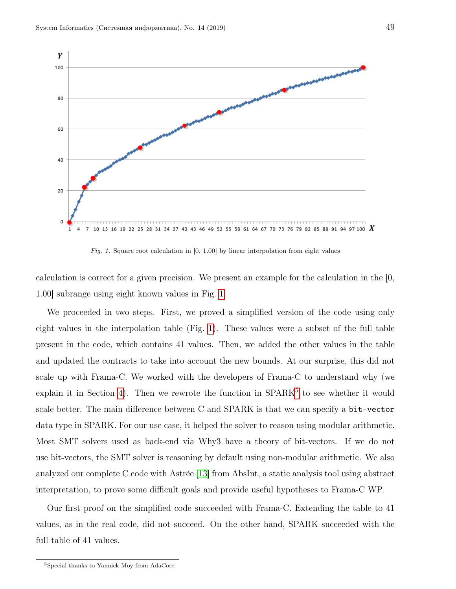

Fig. 1. Square root calculation in  $[0, 1.00]$  by linear interpolation from eight values

calculation is correct for a given precision. We present an example for the calculation in the [0, 1.00] subrange using eight known values in Fig. [1.](#page-3-2)

We proceeded in two steps. First, we proved a simplified version of the code using only eight values in the interpolation table (Fig. [1\)](#page-3-2). These values were a subset of the full table present in the code, which contains 41 values. Then, we added the other values in the table and updated the contracts to take into account the new bounds. At our surprise, this did not scale up with Frama-C. We worked with the developers of Frama-C to understand why (we  $explain$  it in Section [4\)](#page-5-0). Then we rewrote the function in  $SPARK<sup>5</sup>$  $SPARK<sup>5</sup>$  $SPARK<sup>5</sup>$  to see whether it would scale better. The main difference between C and SPARK is that we can specify a bit-vector data type in SPARK. For our use case, it helped the solver to reason using modular arithmetic. Most SMT solvers used as back-end via Why3 have a theory of bit-vectors. If we do not use bit-vectors, the SMT solver is reasoning by default using non-modular arithmetic. We also analyzed our complete C code with Astrée [\[13\]](#page-8-11) from AbsInt, a static analysis tool using abstract interpretation, to prove some difficult goals and provide useful hypotheses to Frama-C WP.

Our first proof on the simplified code succeeded with Frama-C. Extending the table to 41 values, as in the real code, did not succeed. On the other hand, SPARK succeeded with the full table of 41 values.

<span id="page-4-0"></span><sup>5</sup>Special thanks to Yannick Moy from AdaCore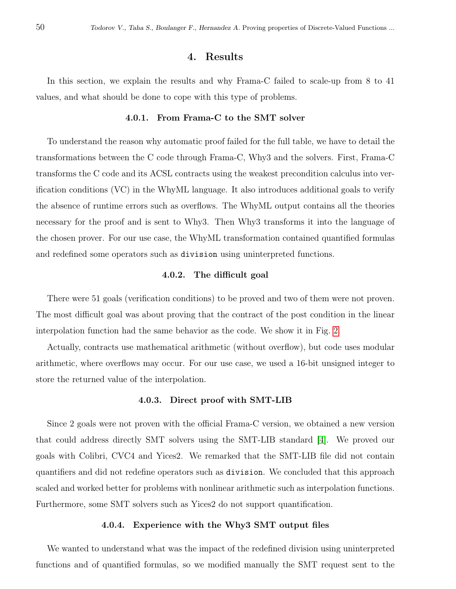# 4. Results

<span id="page-5-0"></span>In this section, we explain the results and why Frama-C failed to scale-up from 8 to 41 values, and what should be done to cope with this type of problems.

#### 4.0.1. From Frama-C to the SMT solver

To understand the reason why automatic proof failed for the full table, we have to detail the transformations between the C code through Frama-C, Why3 and the solvers. First, Frama-C transforms the C code and its ACSL contracts using the weakest precondition calculus into verification conditions (VC) in the WhyML language. It also introduces additional goals to verify the absence of runtime errors such as overflows. The WhyML output contains all the theories necessary for the proof and is sent to Why3. Then Why3 transforms it into the language of the chosen prover. For our use case, the WhyML transformation contained quantified formulas and redefined some operators such as division using uninterpreted functions.

#### 4.0.2. The difficult goal

There were 51 goals (verification conditions) to be proved and two of them were not proven. The most difficult goal was about proving that the contract of the post condition in the linear interpolation function had the same behavior as the code. We show it in Fig. [2.](#page-6-0)

Actually, contracts use mathematical arithmetic (without overflow), but code uses modular arithmetic, where overflows may occur. For our use case, we used a 16-bit unsigned integer to store the returned value of the interpolation.

#### 4.0.3. Direct proof with SMT-LIB

Since 2 goals were not proven with the official Frama-C version, we obtained a new version that could address directly SMT solvers using the SMT-LIB standard [\[4\]](#page-8-12). We proved our goals with Colibri, CVC4 and Yices2. We remarked that the SMT-LIB file did not contain quantifiers and did not redefine operators such as division. We concluded that this approach scaled and worked better for problems with nonlinear arithmetic such as interpolation functions. Furthermore, some SMT solvers such as Yices2 do not support quantification.

### 4.0.4. Experience with the Why3 SMT output files

We wanted to understand what was the impact of the redefined division using uninterpreted functions and of quantified formulas, so we modified manually the SMT request sent to the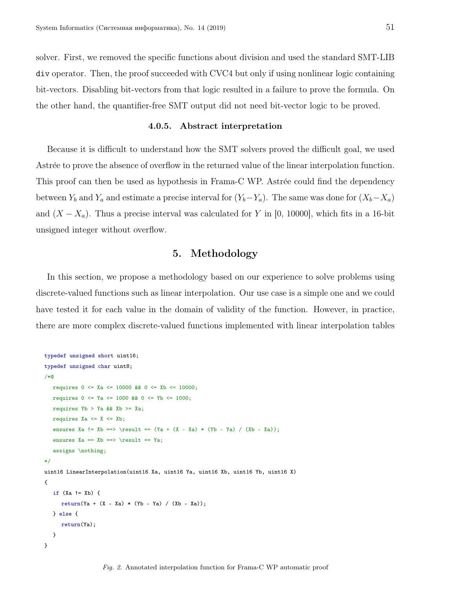solver. First, we removed the specific functions about division and used the standard SMT-LIB div operator. Then, the proof succeeded with CVC4 but only if using nonlinear logic containing bit-vectors. Disabling bit-vectors from that logic resulted in a failure to prove the formula. On the other hand, the quantifier-free SMT output did not need bit-vector logic to be proved.

#### 4.0.5. Abstract interpretation

Because it is difficult to understand how the SMT solvers proved the difficult goal, we used Astrée to prove the absence of overflow in the returned value of the linear interpolation function. This proof can then be used as hypothesis in Frama-C WP. Astrée could find the dependency between  $Y_b$  and  $Y_a$  and estimate a precise interval for  $(Y_b-Y_a)$ . The same was done for  $(X_b-X_a)$ and  $(X - X_a)$ . Thus a precise interval was calculated for Y in [0, 10000], which fits in a 16-bit unsigned integer without overflow.

# 5. Methodology

<span id="page-6-1"></span>In this section, we propose a methodology based on our experience to solve problems using discrete-valued functions such as linear interpolation. Our use case is a simple one and we could have tested it for each value in the domain of validity of the function. However, in practice, there are more complex discrete-valued functions implemented with linear interpolation tables

```
typedef unsigned short uint16;
typedef unsigned char uint8;
/*@
  requires 0 \le x_a \le 10000 & 0 \le x_b \le 10000;
  requires 0 \leq Ya \leq 1000 & 0 \leq Yb \leq 1000;
  requires Yb > Ya & Xb >= Xa;
  requires Xa \leq X \leq Xb;
  ensures Xa != Xb ==> \result == (Ya + (X - Xa) * (Yb - Ya) / (Xb - Xa));ensures Xa == Xb == > \result == Ya;assigns \nothing;
*/
uint16 LinearInterpolation(uint16 Xa, uint16 Ya, uint16 Xb, uint16 Yb, uint16 X)
{
  if (Xa := Xb) {
     return(Ya + (X - Xa) * (Yb - Ya) / (Xb - Xa));} else {
     return(Ya);
  }
}
```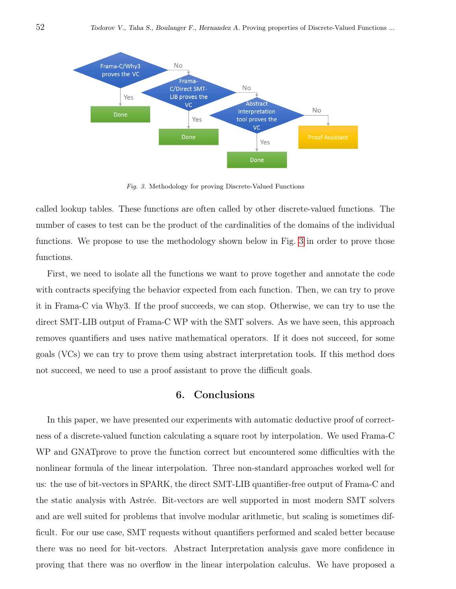

Fig. 3. Methodology for proving Discrete-Valued Functions

called lookup tables. These functions are often called by other discrete-valued functions. The number of cases to test can be the product of the cardinalities of the domains of the individual functions. We propose to use the methodology shown below in Fig. [3](#page-6-1) in order to prove those functions.

First, we need to isolate all the functions we want to prove together and annotate the code with contracts specifying the behavior expected from each function. Then, we can try to prove it in Frama-C via Why3. If the proof succeeds, we can stop. Otherwise, we can try to use the direct SMT-LIB output of Frama-C WP with the SMT solvers. As we have seen, this approach removes quantifiers and uses native mathematical operators. If it does not succeed, for some goals (VCs) we can try to prove them using abstract interpretation tools. If this method does not succeed, we need to use a proof assistant to prove the difficult goals.

# 6. Conclusions

In this paper, we have presented our experiments with automatic deductive proof of correctness of a discrete-valued function calculating a square root by interpolation. We used Frama-C WP and GNATprove to prove the function correct but encountered some difficulties with the nonlinear formula of the linear interpolation. Three non-standard approaches worked well for us: the use of bit-vectors in SPARK, the direct SMT-LIB quantifier-free output of Frama-C and the static analysis with Astrée. Bit-vectors are well supported in most modern SMT solvers and are well suited for problems that involve modular arithmetic, but scaling is sometimes difficult. For our use case, SMT requests without quantifiers performed and scaled better because there was no need for bit-vectors. Abstract Interpretation analysis gave more confidence in proving that there was no overflow in the linear interpolation calculus. We have proposed a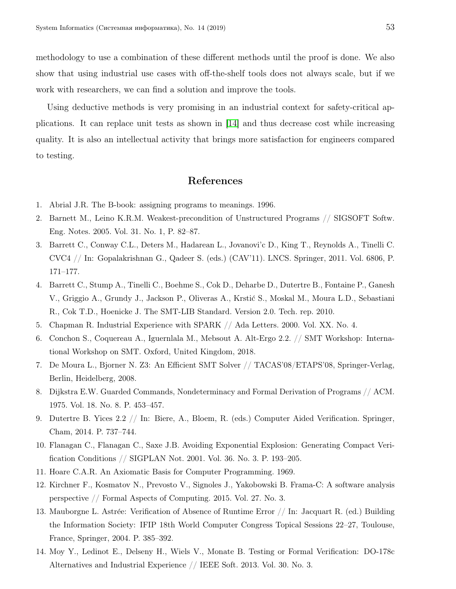methodology to use a combination of these different methods until the proof is done. We also show that using industrial use cases with off-the-shelf tools does not always scale, but if we work with researchers, we can find a solution and improve the tools.

Using deductive methods is very promising in an industrial context for safety-critical applications. It can replace unit tests as shown in [\[14\]](#page-8-13) and thus decrease cost while increasing quality. It is also an intellectual activity that brings more satisfaction for engineers compared to testing.

# References

- <span id="page-8-10"></span><span id="page-8-4"></span>1. Abrial J.R. The B-book: assigning programs to meanings. 1996.
- 2. Barnett M., Leino K.R.M. Weakest-precondition of Unstructured Programs // SIGSOFT Softw. Eng. Notes. 2005. Vol. 31. No. 1, P. 82–87.
- <span id="page-8-7"></span>3. Barrett C., Conway C.L., Deters M., Hadarean L., Jovanovi'c D., King T., Reynolds A., Tinelli C. CVC4 // In: Gopalakrishnan G., Qadeer S. (eds.) (CAV'11). LNCS. Springer, 2011. Vol. 6806, P. 171–177.
- <span id="page-8-12"></span>4. Barrett C., Stump A., Tinelli C., Boehme S., Cok D., Deharbe D., Dutertre B., Fontaine P., Ganesh V., Griggio A., Grundy J., Jackson P., Oliveras A., Krstić S., Moskal M., Moura L.D., Sebastiani R., Cok T.D., Hoenicke J. The SMT-LIB Standard. Version 2.0. Tech. rep. 2010.
- <span id="page-8-6"></span><span id="page-8-1"></span>5. Chapman R. Industrial Experience with SPARK // Ada Letters. 2000. Vol. XX. No. 4.
- 6. Conchon S., Coquereau A., Iguernlala M., Mebsout A. Alt-Ergo 2.2. // SMT Workshop: International Workshop on SMT. Oxford, United Kingdom, 2018.
- <span id="page-8-9"></span>7. De Moura L., Bjorner N. Z3: An Efficient SMT Solver // TACAS'08/ETAPS'08, Springer-Verlag, Berlin, Heidelberg, 2008.
- <span id="page-8-3"></span>8. Dijkstra E.W. Guarded Commands, Nondeterminacy and Formal Derivation of Programs // ACM. 1975. Vol. 18. No. 8. P. 453–457.
- <span id="page-8-8"></span>9. Dutertre B. Yices 2.2 // In: Biere, A., Bloem, R. (eds.) Computer Aided Verification. Springer, Cham, 2014. P. 737–744.
- <span id="page-8-5"></span>10. Flanagan C., Flanagan C., Saxe J.B. Avoiding Exponential Explosion: Generating Compact Verification Conditions // SIGPLAN Not. 2001. Vol. 36. No. 3. P. 193–205.
- <span id="page-8-2"></span><span id="page-8-0"></span>11. Hoare C.A.R. An Axiomatic Basis for Computer Programming. 1969.
- 12. Kirchner F., Kosmatov N., Prevosto V., Signoles J., Yakobowski B. Frama-C: A software analysis perspective // Formal Aspects of Computing. 2015. Vol. 27. No. 3.
- <span id="page-8-11"></span>13. Mauborgne L. Astrée: Verification of Absence of Runtime Error  $//$  In: Jacquart R. (ed.) Building the Information Society: IFIP 18th World Computer Congress Topical Sessions 22–27, Toulouse, France, Springer, 2004. P. 385–392.
- <span id="page-8-13"></span>14. Moy Y., Ledinot E., Delseny H., Wiels V., Monate B. Testing or Formal Verification: DO-178c Alternatives and Industrial Experience // IEEE Soft. 2013. Vol. 30. No. 3.